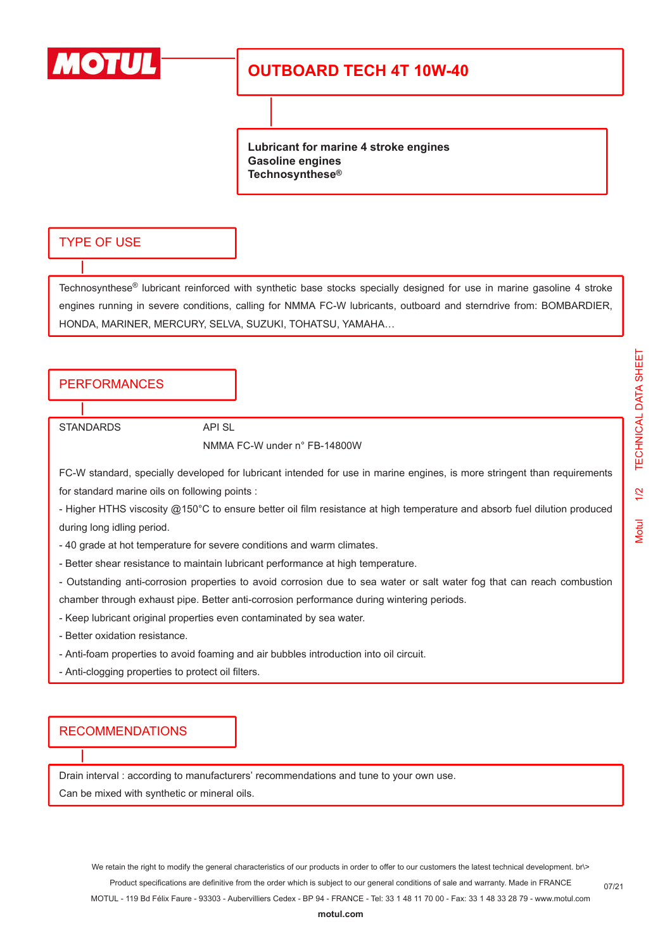

# **OUTBOARD TECH 4T 10W-40**

**Lubricant for marine 4 stroke engines Gasoline engines Technosynthese®**

#### TYPE OF USE

Technosynthese® lubricant reinforced with synthetic base stocks specially designed for use in marine gasoline 4 stroke engines running in severe conditions, calling for NMMA FC-W lubricants, outboard and sterndrive from: BOMBARDIER, HONDA, MARINER, MERCURY, SELVA, SUZUKI, TOHATSU, YAMAHA…

### **PERFORMANCES**

STANDARDS API SL

NMMA FC-W under n° FB-14800W

FC-W standard, specially developed for lubricant intended for use in marine engines, is more stringent than requirements for standard marine oils on following points :

- Higher HTHS viscosity @150°C to ensure better oil film resistance at high temperature and absorb fuel dilution produced during long idling period.

- 40 grade at hot temperature for severe conditions and warm climates.

- Better shear resistance to maintain lubricant performance at high temperature.

- Outstanding anti-corrosion properties to avoid corrosion due to sea water or salt water fog that can reach combustion chamber through exhaust pipe. Better anti-corrosion performance during wintering periods.

- Keep lubricant original properties even contaminated by sea water.
- Better oxidation resistance.
- Anti-foam properties to avoid foaming and air bubbles introduction into oil circuit.
- Anti-clogging properties to protect oil filters.

#### RECOMMENDATIONS

Drain interval : according to manufacturers' recommendations and tune to your own use. Can be mixed with synthetic or mineral oils.

07/21